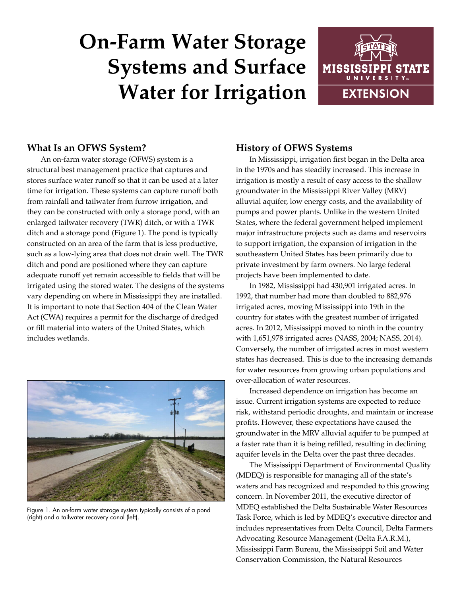# **On-Farm Water Storage Systems and Surface Water for Irrigation**



### **What Is an OFWS System?**

An on-farm water storage (OFWS) system is a structural best management practice that captures and stores surface water runoff so that it can be used at a later time for irrigation. These systems can capture runoff both from rainfall and tailwater from furrow irrigation, and they can be constructed with only a storage pond, with an enlarged tailwater recovery (TWR) ditch, or with a TWR ditch and a storage pond (Figure 1). The pond is typically constructed on an area of the farm that is less productive, such as a low-lying area that does not drain well. The TWR ditch and pond are positioned where they can capture adequate runoff yet remain accessible to fields that will be irrigated using the stored water. The designs of the systems vary depending on where in Mississippi they are installed. It is important to note that Section 404 of the Clean Water Act (CWA) requires a permit for the discharge of dredged or fill material into waters of the United States, which includes wetlands.



Figure 1. An on-farm water storage system typically consists of a pond (right) and a tailwater recovery canal (left).

#### **History of OFWS Systems**

In Mississippi, irrigation first began in the Delta area in the 1970s and has steadily increased. This increase in irrigation is mostly a result of easy access to the shallow groundwater in the Mississippi River Valley (MRV) alluvial aquifer, low energy costs, and the availability of pumps and power plants. Unlike in the western United States, where the federal government helped implement major infrastructure projects such as dams and reservoirs to support irrigation, the expansion of irrigation in the southeastern United States has been primarily due to private investment by farm owners. No large federal projects have been implemented to date.

In 1982, Mississippi had 430,901 irrigated acres. In 1992, that number had more than doubled to 882,976 irrigated acres, moving Mississippi into 19th in the country for states with the greatest number of irrigated acres. In 2012, Mississippi moved to ninth in the country with 1,651,978 irrigated acres (NASS, 2004; NASS, 2014). Conversely, the number of irrigated acres in most western states has decreased. This is due to the increasing demands for water resources from growing urban populations and over-allocation of water resources.

Increased dependence on irrigation has become an issue. Current irrigation systems are expected to reduce risk, withstand periodic droughts, and maintain or increase profits. However, these expectations have caused the groundwater in the MRV alluvial aquifer to be pumped at a faster rate than it is being refilled, resulting in declining aquifer levels in the Delta over the past three decades.

The Mississippi Department of Environmental Quality (MDEQ) is responsible for managing all of the state's waters and has recognized and responded to this growing concern. In November 2011, the executive director of MDEQ established the Delta Sustainable Water Resources Task Force, which is led by MDEQ's executive director and includes representatives from Delta Council, Delta Farmers Advocating Resource Management (Delta F.A.R.M.), Mississippi Farm Bureau, the Mississippi Soil and Water Conservation Commission, the Natural Resources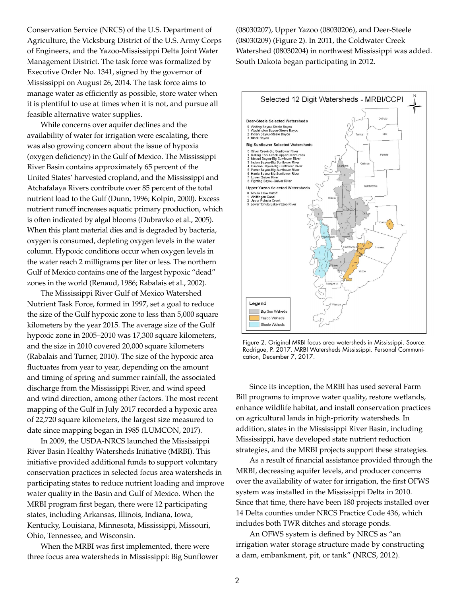Conservation Service (NRCS) of the U.S. Department of Agriculture, the Vicksburg District of the U.S. Army Corps of Engineers, and the Yazoo-Mississippi Delta Joint Water Management District. The task force was formalized by Executive Order No. 1341, signed by the governor of Mississippi on August 26, 2014. The task force aims to manage water as efficiently as possible, store water when it is plentiful to use at times when it is not, and pursue all feasible alternative water supplies.

While concerns over aquifer declines and the availability of water for irrigation were escalating, there was also growing concern about the issue of hypoxia (oxygen deficiency) in the Gulf of Mexico. The Mississippi River Basin contains approximately 65 percent of the United States' harvested cropland, and the Mississippi and Atchafalaya Rivers contribute over 85 percent of the total nutrient load to the Gulf (Dunn, 1996; Kolpin, 2000). Excess nutrient runoff increases aquatic primary production, which is often indicated by algal blooms (Dubravko et al., 2005). When this plant material dies and is degraded by bacteria, oxygen is consumed, depleting oxygen levels in the water column. Hypoxic conditions occur when oxygen levels in the water reach 2 milligrams per liter or less. The northern Gulf of Mexico contains one of the largest hypoxic "dead" zones in the world (Renaud, 1986; Rabalais et al., 2002).

The Mississippi River Gulf of Mexico Watershed Nutrient Task Force, formed in 1997, set a goal to reduce the size of the Gulf hypoxic zone to less than 5,000 square kilometers by the year 2015. The average size of the Gulf hypoxic zone in 2005–2010 was 17,300 square kilometers, and the size in 2010 covered 20,000 square kilometers (Rabalais and Turner, 2010). The size of the hypoxic area fluctuates from year to year, depending on the amount and timing of spring and summer rainfall, the associated discharge from the Mississippi River, and wind speed and wind direction, among other factors. The most recent mapping of the Gulf in July 2017 recorded a hypoxic area of 22,720 square kilometers, the largest size measured to date since mapping began in 1985 (LUMCON, 2017).

In 2009, the USDA-NRCS launched the Mississippi River Basin Healthy Watersheds Initiative (MRBI). This initiative provided additional funds to support voluntary conservation practices in selected focus area watersheds in participating states to reduce nutrient loading and improve water quality in the Basin and Gulf of Mexico. When the MRBI program first began, there were 12 participating states, including Arkansas, Illinois, Indiana, Iowa, Kentucky, Louisiana, Minnesota, Mississippi, Missouri, Ohio, Tennessee, and Wisconsin.

When the MRBI was first implemented, there were three focus area watersheds in Mississippi: Big Sunflower

(08030207), Upper Yazoo (08030206), and Deer-Steele (08030209) (Figure 2). In 2011, the Coldwater Creek Watershed (08030204) in northwest Mississippi was added. South Dakota began participating in 2012.



Figure 2. Original MRBI focus area watersheds in Mississippi. Source: Rodrigue, P. 2017. MRBI Watersheds Mississippi. Personal Communication, December 7, 2017.

Since its inception, the MRBI has used several Farm Bill programs to improve water quality, restore wetlands, enhance wildlife habitat, and install conservation practices on agricultural lands in high-priority watersheds. In addition, states in the Mississippi River Basin, including Mississippi, have developed state nutrient reduction strategies, and the MRBI projects support these strategies.

As a result of financial assistance provided through the MRBI, decreasing aquifer levels, and producer concerns over the availability of water for irrigation, the first OFWS system was installed in the Mississippi Delta in 2010. Since that time, there have been 180 projects installed over 14 Delta counties under NRCS Practice Code 436, which includes both TWR ditches and storage ponds.

An OFWS system is defined by NRCS as "an irrigation water storage structure made by constructing a dam, embankment, pit, or tank" (NRCS, 2012).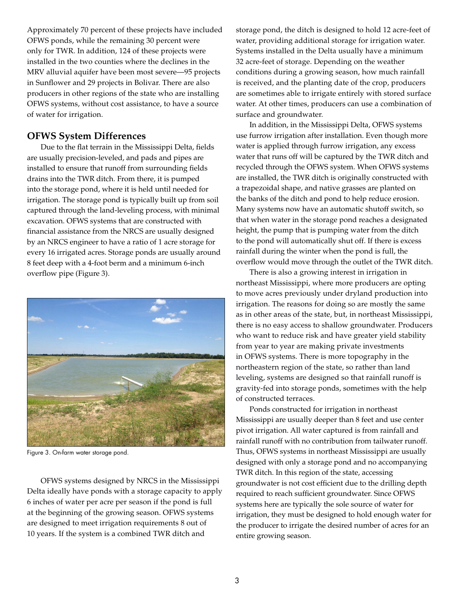Approximately 70 percent of these projects have included OFWS ponds, while the remaining 30 percent were only for TWR. In addition, 124 of these projects were installed in the two counties where the declines in the MRV alluvial aquifer have been most severe—95 projects in Sunflower and 29 projects in Bolivar. There are also producers in other regions of the state who are installing OFWS systems, without cost assistance, to have a source of water for irrigation.

#### **OFWS System Differences**

Due to the flat terrain in the Mississippi Delta, fields are usually precision-leveled, and pads and pipes are installed to ensure that runoff from surrounding fields drains into the TWR ditch. From there, it is pumped into the storage pond, where it is held until needed for irrigation. The storage pond is typically built up from soil captured through the land-leveling process, with minimal excavation. OFWS systems that are constructed with financial assistance from the NRCS are usually designed by an NRCS engineer to have a ratio of 1 acre storage for every 16 irrigated acres. Storage ponds are usually around 8 feet deep with a 4-foot berm and a minimum 6-inch overflow pipe (Figure 3).



Figure 3. On-farm water storage pond.

OFWS systems designed by NRCS in the Mississippi Delta ideally have ponds with a storage capacity to apply 6 inches of water per acre per season if the pond is full at the beginning of the growing season. OFWS systems are designed to meet irrigation requirements 8 out of 10 years. If the system is a combined TWR ditch and

storage pond, the ditch is designed to hold 12 acre-feet of water, providing additional storage for irrigation water. Systems installed in the Delta usually have a minimum 32 acre-feet of storage. Depending on the weather conditions during a growing season, how much rainfall is received, and the planting date of the crop, producers are sometimes able to irrigate entirely with stored surface water. At other times, producers can use a combination of surface and groundwater.

In addition, in the Mississippi Delta, OFWS systems use furrow irrigation after installation. Even though more water is applied through furrow irrigation, any excess water that runs off will be captured by the TWR ditch and recycled through the OFWS system. When OFWS systems are installed, the TWR ditch is originally constructed with a trapezoidal shape, and native grasses are planted on the banks of the ditch and pond to help reduce erosion. Many systems now have an automatic shutoff switch, so that when water in the storage pond reaches a designated height, the pump that is pumping water from the ditch to the pond will automatically shut off. If there is excess rainfall during the winter when the pond is full, the overflow would move through the outlet of the TWR ditch.

There is also a growing interest in irrigation in northeast Mississippi, where more producers are opting to move acres previously under dryland production into irrigation. The reasons for doing so are mostly the same as in other areas of the state, but, in northeast Mississippi, there is no easy access to shallow groundwater. Producers who want to reduce risk and have greater yield stability from year to year are making private investments in OFWS systems. There is more topography in the northeastern region of the state, so rather than land leveling, systems are designed so that rainfall runoff is gravity-fed into storage ponds, sometimes with the help of constructed terraces.

Ponds constructed for irrigation in northeast Mississippi are usually deeper than 8 feet and use center pivot irrigation. All water captured is from rainfall and rainfall runoff with no contribution from tailwater runoff. Thus, OFWS systems in northeast Mississippi are usually designed with only a storage pond and no accompanying TWR ditch. In this region of the state, accessing groundwater is not cost efficient due to the drilling depth required to reach sufficient groundwater. Since OFWS systems here are typically the sole source of water for irrigation, they must be designed to hold enough water for the producer to irrigate the desired number of acres for an entire growing season.